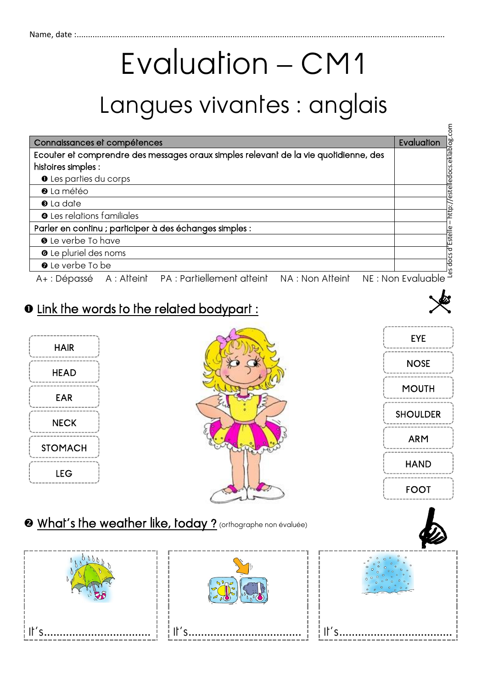## Evaluation – CM1

## Langues vivantes : anglais

|                                                                                      | š                     |
|--------------------------------------------------------------------------------------|-----------------------|
| Connaissances et compétences                                                         | Evaluation            |
| Ecouter et comprendre des messages oraux simples relevant de la vie quotidienne, des |                       |
| histoires simples :                                                                  |                       |
| <b>O</b> Les parties du corps                                                        |                       |
| <sup>0</sup> La météo                                                                | estelledocs.eklablog. |
| <b>O</b> La date                                                                     | http://               |
| <b>O</b> Les relations familiales                                                    |                       |
| Parler en continu ; participer à des échanges simples :                              |                       |
| <b>O</b> Le verbe To have                                                            | Estelle               |
| <b>O</b> Le pluriel des noms                                                         |                       |
| O Le verbe To be                                                                     | s docs d              |
| A+: Dépassé A: Alteint PA: Partiellement atteint NA: Non Atteint                     | NE : Non Evaluable    |

## $\bullet$  Link the words to the related bodypart :







 $\epsilon$ 

## **@** What's the weather like, today ? (orthographe non évaluée)

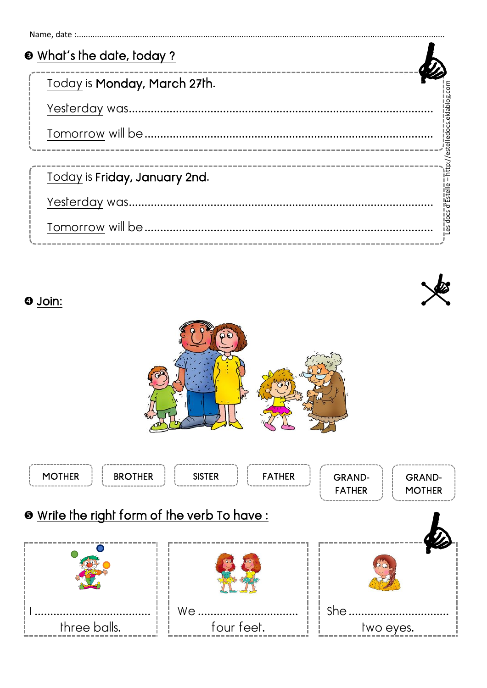| <b>O</b> What's the date, today? |                               |
|----------------------------------|-------------------------------|
| Today is Monday, March 27th.     |                               |
|                                  | = http://estelledocs.eklablog |
|                                  |                               |
|                                  |                               |
| Today is Friday, January 2nd.    |                               |
|                                  | <u>Les docs d'Estelle :</u>   |
|                                  |                               |
|                                  |                               |





 $\odot$  Join:

| <b>MOTHER</b><br><b>BROTHER</b>                    | <b>FATHER</b><br><b>SISTER</b> | <b>GRAND-</b><br><b>GRAND-</b><br><b>FATHER</b><br><b>MOTHER</b> |  |  |
|----------------------------------------------------|--------------------------------|------------------------------------------------------------------|--|--|
| <b>O</b> Write the right form of the verb To have: |                                |                                                                  |  |  |
|                                                    | We                             | <b>She</b>                                                       |  |  |
| three balls.                                       | four feet.                     | two eyes.                                                        |  |  |